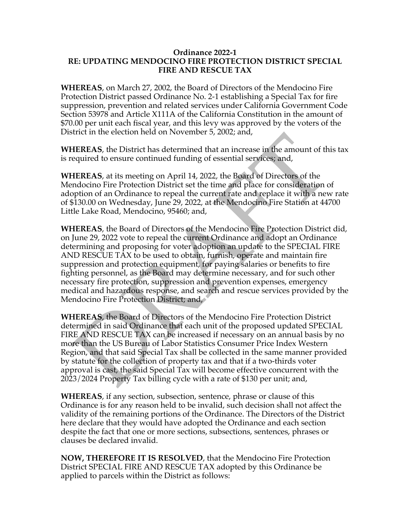## **Ordinance 2022-1 RE: UPDATING MENDOCINO FIRE PROTECTION DISTRICT SPECIAL FIRE AND RESCUE TAX**

**WHEREAS**, on March 27, 2002, the Board of Directors of the Mendocino Fire Protection District passed Ordinance No. 2-1 establishing a Special Tax for fire suppression, prevention and related services under California Government Code Section 53978 and Article X111A of the California Constitution in the amount of \$70.00 per unit each fiscal year, and this levy was approved by the voters of the District in the election held on November 5, 2002; and,

**WHEREAS**, the District has determined that an increase in the amount of this tax is required to ensure continued funding of essential services; and,

**WHEREAS**, at its meeting on April 14, 2022, the Board of Directors of the Mendocino Fire Protection District set the time and place for consideration of adoption of an Ordinance to repeal the current rate and replace it with a new rate of \$130.00 on Wednesday, June 29, 2022, at the Mendocino Fire Station at 44700 Little Lake Road, Mendocino, 95460; and,

**WHEREAS**, the Board of Directors of the Mendocino Fire Protection District did, on June 29, 2022 vote to repeal the current Ordinance and adopt an Ordinance determining and proposing for voter adoption an update to the SPECIAL FIRE AND RESCUE TAX to be used to obtain, furnish, operate and maintain fire suppression and protection equipment, for paying salaries or benefits to fire fighting personnel, as the Board may determine necessary, and for such other necessary fire protection, suppression and prevention expenses, emergency medical and hazardous response, and search and rescue services provided by the Mendocino Fire Protection District; and,

**WHEREAS**, the Board of Directors of the Mendocino Fire Protection District determined in said Ordinance that each unit of the proposed updated SPECIAL FIRE AND RESCUE TAX can be increased if necessary on an annual basis by no more than the US Bureau of Labor Statistics Consumer Price Index Western Region, and that said Special Tax shall be collected in the same manner provided by statute for the collection of property tax and that if a two-thirds voter approval is cast, the said Special Tax will become effective concurrent with the 2023/2024 Property Tax billing cycle with a rate of \$130 per unit; and,

**WHEREAS**, if any section, subsection, sentence, phrase or clause of this Ordinance is for any reason held to be invalid, such decision shall not affect the validity of the remaining portions of the Ordinance. The Directors of the District here declare that they would have adopted the Ordinance and each section despite the fact that one or more sections, subsections, sentences, phrases or clauses be declared invalid.

**NOW, THEREFORE IT IS RESOLVED**, that the Mendocino Fire Protection District SPECIAL FIRE AND RESCUE TAX adopted by this Ordinance be applied to parcels within the District as follows: